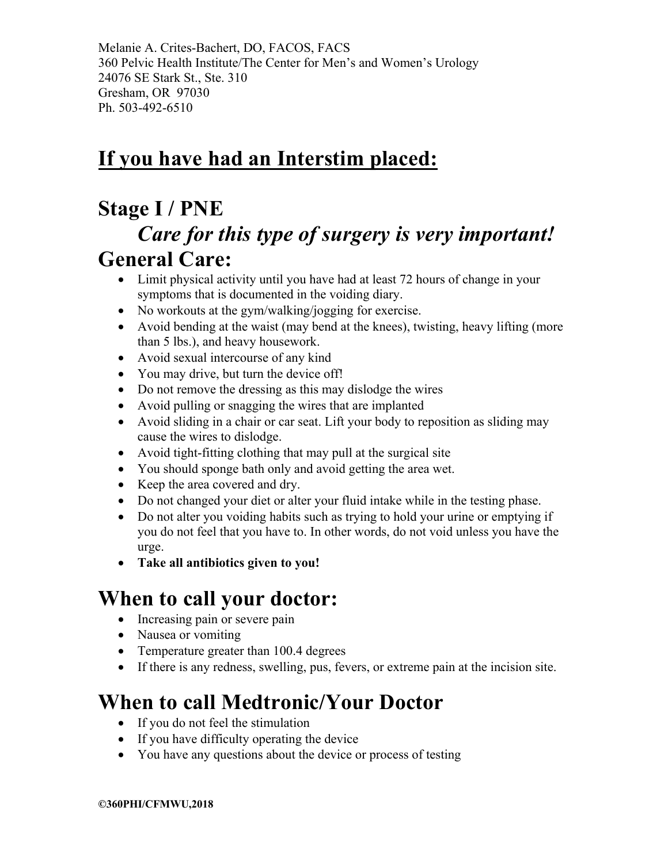Melanie A. Crites-Bachert, DO, FACOS, FACS 360 Pelvic Health Institute/The Center for Men's and Women's Urology 24076 SE Stark St., Ste. 310 Gresham, OR 97030 Ph. 503-492-6510

# **If you have had an Interstim placed:**

### **Stage I / PNE**

## *Care for this type of surgery is very important!* **General Care:**

- Limit physical activity until you have had at least 72 hours of change in your symptoms that is documented in the voiding diary.
- No workouts at the gym/walking/jogging for exercise.
- Avoid bending at the waist (may bend at the knees), twisting, heavy lifting (more than 5 lbs.), and heavy housework.
- Avoid sexual intercourse of any kind
- You may drive, but turn the device off!
- Do not remove the dressing as this may dislodge the wires
- Avoid pulling or snagging the wires that are implanted
- Avoid sliding in a chair or car seat. Lift your body to reposition as sliding may cause the wires to dislodge.
- Avoid tight-fitting clothing that may pull at the surgical site
- You should sponge bath only and avoid getting the area wet.
- Keep the area covered and dry.
- Do not changed your diet or alter your fluid intake while in the testing phase.
- Do not alter you voiding habits such as trying to hold your urine or emptying if you do not feel that you have to. In other words, do not void unless you have the urge.
- **Take all antibiotics given to you!**

### **When to call your doctor:**

- Increasing pain or severe pain
- Nausea or vomiting
- Temperature greater than 100.4 degrees
- If there is any redness, swelling, pus, fevers, or extreme pain at the incision site.

## **When to call Medtronic/Your Doctor**

- If you do not feel the stimulation
- If you have difficulty operating the device
- You have any questions about the device or process of testing